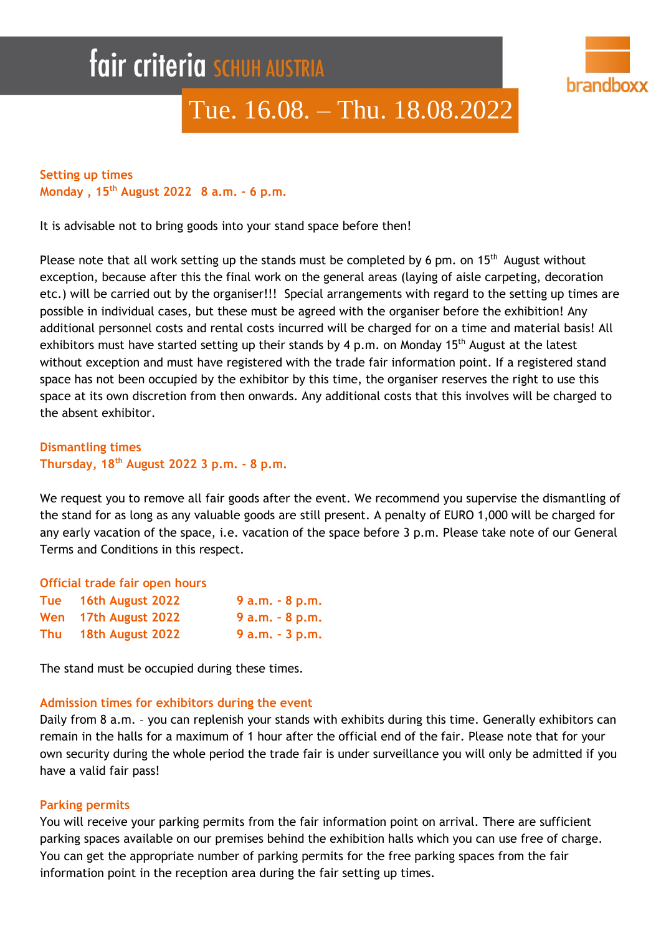# **fair criteria SCHUH AUSTRIA**



# Tue. 16.08. – Thu. 18.08.2022

# **Setting up times Monday , 15 th August 2022 8 a.m. - 6 p.m.**

It is advisable not to bring goods into your stand space before then!

Please note that all work setting up the stands must be completed by 6 pm. on  $15<sup>th</sup>$  August without exception, because after this the final work on the general areas (laying of aisle carpeting, decoration etc.) will be carried out by the organiser!!! Special arrangements with regard to the setting up times are possible in individual cases, but these must be agreed with the organiser before the exhibition! Any additional personnel costs and rental costs incurred will be charged for on a time and material basis! All exhibitors must have started setting up their stands by 4 p.m. on Monday 15<sup>th</sup> August at the latest without exception and must have registered with the trade fair information point. If a registered stand space has not been occupied by the exhibitor by this time, the organiser reserves the right to use this space at its own discretion from then onwards. Any additional costs that this involves will be charged to the absent exhibitor.

**Dismantling times Thursday, 18th August 2022 3 p.m. - 8 p.m.**

We request you to remove all fair goods after the event. We recommend you supervise the dismantling of the stand for as long as any valuable goods are still present. A penalty of EURO 1,000 will be charged for any early vacation of the space, i.e. vacation of the space before 3 p.m. Please take note of our General Terms and Conditions in this respect.

| Official trade fair open hours |                      |                   |
|--------------------------------|----------------------|-------------------|
|                                | Tue 16th August 2022 | $9a.m. - 8p.m.$   |
| Wen                            | 17th August 2022     | $9 a.m. - 8 p.m.$ |
| Thu                            | 18th August 2022     | $9 a.m. - 3 p.m.$ |

The stand must be occupied during these times.

#### **Admission times for exhibitors during the event**

Daily from 8 a.m. – you can replenish your stands with exhibits during this time. Generally exhibitors can remain in the halls for a maximum of 1 hour after the official end of the fair. Please note that for your own security during the whole period the trade fair is under surveillance you will only be admitted if you have a valid fair pass!

#### **Parking permits**

You will receive your parking permits from the fair information point on arrival. There are sufficient parking spaces available on our premises behind the exhibition halls which you can use free of charge. You can get the appropriate number of parking permits for the free parking spaces from the fair information point in the reception area during the fair setting up times.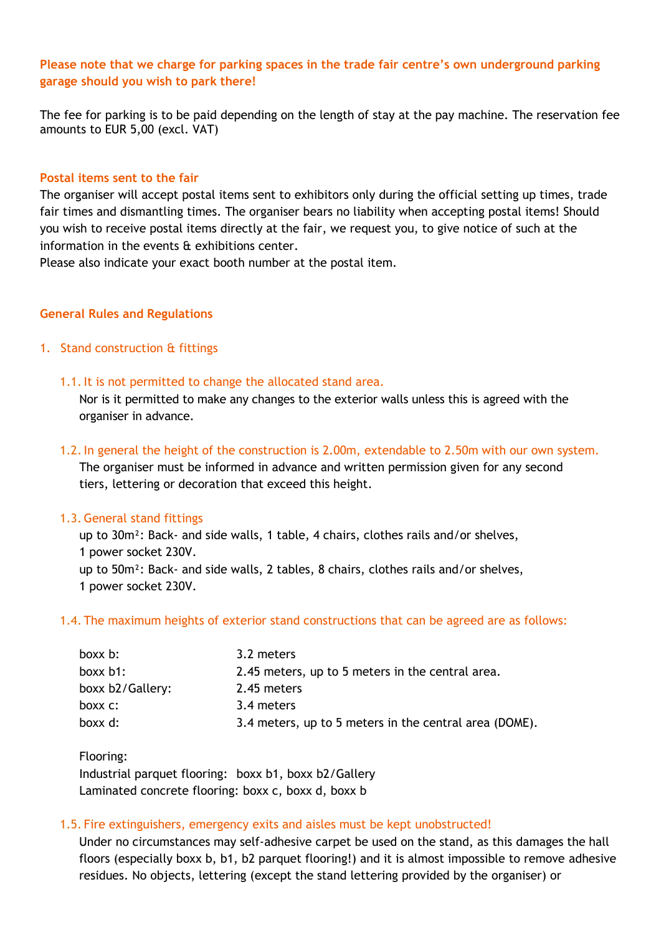# **Please note that we charge for parking spaces in the trade fair centre's own underground parking garage should you wish to park there!**

The fee for parking is to be paid depending on the length of stay at the pay machine. The reservation fee amounts to EUR 5,00 (excl. VAT)

#### **Postal items sent to the fair**

The organiser will accept postal items sent to exhibitors only during the official setting up times, trade fair times and dismantling times. The organiser bears no liability when accepting postal items! Should you wish to receive postal items directly at the fair, we request you, to give notice of such at the information in the events & exhibitions center.

Please also indicate your exact booth number at the postal item.

#### **General Rules and Regulations**

#### 1. Stand construction & fittings

1.1.It is not permitted to change the allocated stand area.

Nor is it permitted to make any changes to the exterior walls unless this is agreed with the organiser in advance.

1.2.In general the height of the construction is 2.00m, extendable to 2.50m with our own system. The organiser must be informed in advance and written permission given for any second tiers, lettering or decoration that exceed this height.

#### 1.3. General stand fittings

up to 30m²: Back- and side walls, 1 table, 4 chairs, clothes rails and/or shelves, 1 power socket 230V. up to 50m²: Back- and side walls, 2 tables, 8 chairs, clothes rails and/or shelves, 1 power socket 230V.

#### 1.4. The maximum heights of exterior stand constructions that can be agreed are as follows:

| boxx b:          | 3.2 meters                                             |
|------------------|--------------------------------------------------------|
| boxx $b1$ :      | 2.45 meters, up to 5 meters in the central area.       |
| boxx b2/Gallery: | 2.45 meters                                            |
| boxx c:          | 3.4 meters                                             |
| boxx d:          | 3.4 meters, up to 5 meters in the central area (DOME). |

Flooring: Industrial parquet flooring: boxx b1, boxx b2/Gallery Laminated concrete flooring: boxx c, boxx d, boxx b

#### 1.5. Fire extinguishers, emergency exits and aisles must be kept unobstructed!

Under no circumstances may self-adhesive carpet be used on the stand, as this damages the hall floors (especially boxx b, b1, b2 parquet flooring!) and it is almost impossible to remove adhesive residues. No objects, lettering (except the stand lettering provided by the organiser) or